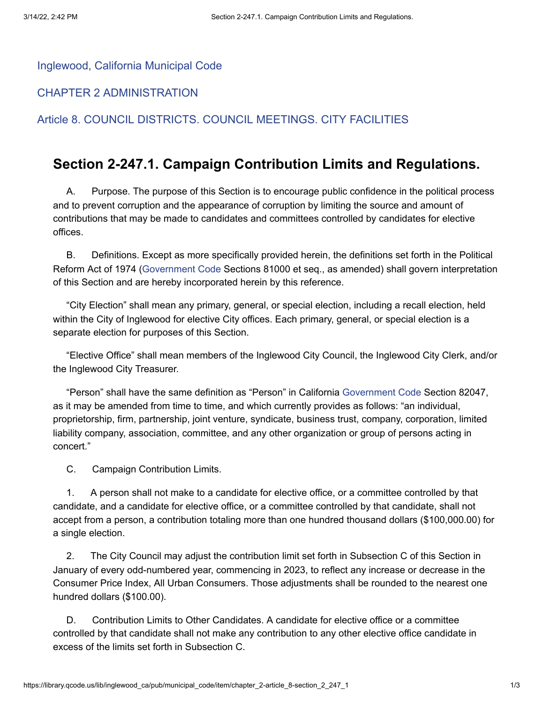[Inglewood, California Municipal Code](https://library.qcode.us/lib/inglewood_ca/pub/municipal_code)

[CHAPTER 2 ADMINISTRATION](https://library.qcode.us/lib/inglewood_ca/pub/municipal_code/item/chapter_2)

[Article 8. COUNCIL DISTRICTS. COUNCIL MEETINGS. CITY FACILITIES](https://library.qcode.us/lib/inglewood_ca/pub/municipal_code/item/chapter_2-article_8)

## **Section 2-247.1. Campaign Contribution Limits and Regulations.**

A. Purpose. The purpose of this Section is to encourage public confidence in the political process and to prevent corruption and the appearance of corruption by limiting the source and amount of contributions that may be made to candidates and committees controlled by candidates for elective offices.

B. Definitions. Except as more specifically provided herein, the definitions set forth in the Political Reform Act of 1974 [\(Government](https://library.qcode.us/redirect/state_code/ca/ca_gov) Code Sections 81000 et seq., as amended) shall govern interpretation of this Section and are hereby incorporated herein by this reference.

"City Election" shall mean any primary, general, or special election, including a recall election, held within the City of Inglewood for elective City offices. Each primary, general, or special election is a separate election for purposes of this Section.

"Elective Office" shall mean members of the Inglewood City Council, the Inglewood City Clerk, and/or the Inglewood City Treasurer.

"Person" shall have the same definition as "Person" in California [Government](https://library.qcode.us/redirect/state_code/ca/ca_gov) Code Section 82047, as it may be amended from time to time, and which currently provides as follows: "an individual, proprietorship, firm, partnership, joint venture, syndicate, business trust, company, corporation, limited liability company, association, committee, and any other organization or group of persons acting in concert."

C. Campaign Contribution Limits.

1. A person shall not make to a candidate for elective office, or a committee controlled by that candidate, and a candidate for elective office, or a committee controlled by that candidate, shall not accept from a person, a contribution totaling more than one hundred thousand dollars (\$100,000.00) for a single election.

2. The City Council may adjust the contribution limit set forth in Subsection C of this Section in January of every odd-numbered year, commencing in 2023, to reflect any increase or decrease in the Consumer Price Index, All Urban Consumers. Those adjustments shall be rounded to the nearest one hundred dollars (\$100.00).

D. Contribution Limits to Other Candidates. A candidate for elective office or a committee controlled by that candidate shall not make any contribution to any other elective office candidate in excess of the limits set forth in Subsection C.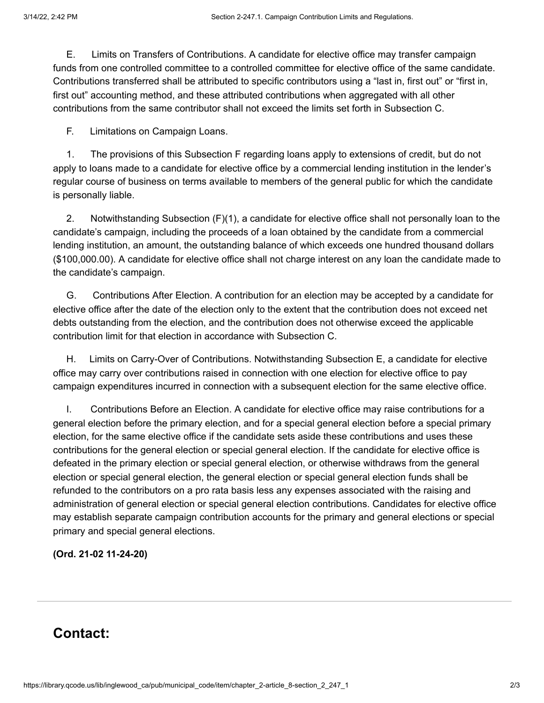E. Limits on Transfers of Contributions. A candidate for elective office may transfer campaign funds from one controlled committee to a controlled committee for elective office of the same candidate. Contributions transferred shall be attributed to specific contributors using a "last in, first out" or "first in, first out" accounting method, and these attributed contributions when aggregated with all other contributions from the same contributor shall not exceed the limits set forth in Subsection C.

F. Limitations on Campaign Loans.

1. The provisions of this Subsection F regarding loans apply to extensions of credit, but do not apply to loans made to a candidate for elective office by a commercial lending institution in the lender's regular course of business on terms available to members of the general public for which the candidate is personally liable.

2. Notwithstanding Subsection (F)(1), a candidate for elective office shall not personally loan to the candidate's campaign, including the proceeds of a loan obtained by the candidate from a commercial lending institution, an amount, the outstanding balance of which exceeds one hundred thousand dollars (\$100,000.00). A candidate for elective office shall not charge interest on any loan the candidate made to the candidate's campaign.

G. Contributions After Election. A contribution for an election may be accepted by a candidate for elective office after the date of the election only to the extent that the contribution does not exceed net debts outstanding from the election, and the contribution does not otherwise exceed the applicable contribution limit for that election in accordance with Subsection C.

H. Limits on Carry-Over of Contributions. Notwithstanding Subsection E, a candidate for elective office may carry over contributions raised in connection with one election for elective office to pay campaign expenditures incurred in connection with a subsequent election for the same elective office.

I. Contributions Before an Election. A candidate for elective office may raise contributions for a general election before the primary election, and for a special general election before a special primary election, for the same elective office if the candidate sets aside these contributions and uses these contributions for the general election or special general election. If the candidate for elective office is defeated in the primary election or special general election, or otherwise withdraws from the general election or special general election, the general election or special general election funds shall be refunded to the contributors on a pro rata basis less any expenses associated with the raising and administration of general election or special general election contributions. Candidates for elective office may establish separate campaign contribution accounts for the primary and general elections or special primary and special general elections.

**(Ord. 21-02 11-24-20)**

## **Contact:**